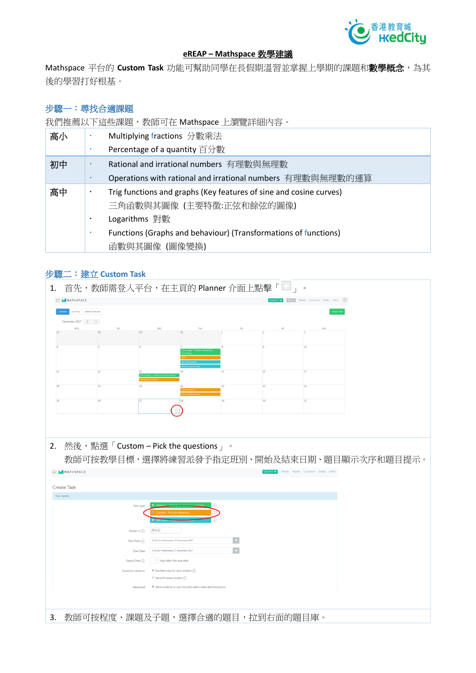

#### **eREAP – Mathspace 教學建議**

Mathspace **平台的 Custom Task 功能可幫助同學在長假期溫習並掌握上學期的課題和數學概念,為其 後的學習打好根基。**

#### **步驟一:尋找合適課題**

**我們推薦以下這些課題,教師可在** Mathspace **上瀏覽詳細內容。**

| 高小 |   | Multiplying fractions 分數乘法                                         |
|----|---|--------------------------------------------------------------------|
|    |   | Percentage of a quantity 百分數                                       |
| 初中 |   | Rational and irrational numbers 有理數與無理數                            |
|    |   | Operations with rational and irrational numbers 有理數與無理數的運算         |
| 高中 | ٠ | Trig functions and graphs (Key features of sine and cosine curves) |
|    |   | 三角函數與其圖像 (主要特徵:正弦和餘弦的圖像)                                           |
|    |   | Logarithms 對數                                                      |
|    |   | Functions (Graphs and behaviour) (Transformations of functions)    |
|    |   | 函數與其圖像 (圖像變換)                                                      |

## **步驟二:建立 Custom Task**

| 1.                                                             | 首先,教師需登入平台,在主頁的 Planner 介面上點擊「<br>$\circ$                                                       |
|----------------------------------------------------------------|-------------------------------------------------------------------------------------------------|
| MATHSPACE                                                      | Estroyet Mestery Curriculum Grades Admin (?)                                                    |
| List View Shared Exercises                                     |                                                                                                 |
|                                                                |                                                                                                 |
| December, 2017 $\langle \rangle$                               | SAT<br>SUN                                                                                      |
|                                                                |                                                                                                 |
|                                                                |                                                                                                 |
|                                                                |                                                                                                 |
|                                                                |                                                                                                 |
| $11\,$<br>12                                                   | 16<br>17                                                                                        |
|                                                                |                                                                                                 |
| 18<br>19                                                       | 23<br>24                                                                                        |
| 25<br>26                                                       | 30<br>31                                                                                        |
|                                                                |                                                                                                 |
|                                                                |                                                                                                 |
|                                                                |                                                                                                 |
|                                                                |                                                                                                 |
| 2. 然後,點選「Custom – Pick the questions」。<br>$\equiv M$ MATHSPACE | 教師可按教學目標,選擇將練習派發予指定班別、開始及結束日期、題目顯示次序和題目提示。<br>Christowy Planner Mastery Curriculum Grades Admin |
| <b>Create Task</b>                                             |                                                                                                 |
| Task details                                                   |                                                                                                 |
|                                                                |                                                                                                 |
| Task type                                                      |                                                                                                 |
| Assign to $(i)$                                                | $P1-A \times$                                                                                   |
| Start Date $(i)$                                               | 11:59 am Wednesday 27 December 2017                                                             |
| Due Date                                                       | 5:00 pm Wednesday 27 December 2017                                                              |
| Expiry Date (i)                                                | 7 days after the due date                                                                       |
| Question variation                                             | Re Numbers vary for each student (1)                                                            |
|                                                                | $\Theta$ Same for every student $\left(\widehat{\mathbf{i}}\right)$                             |
| Advanced                                                       | ■ Allow students to use hints and watch video demonstrations                                    |
|                                                                |                                                                                                 |
|                                                                |                                                                                                 |
| 3.                                                             | 教師可按程度、課題及子題,選擇合適的題目,拉到右面的題目庫。                                                                  |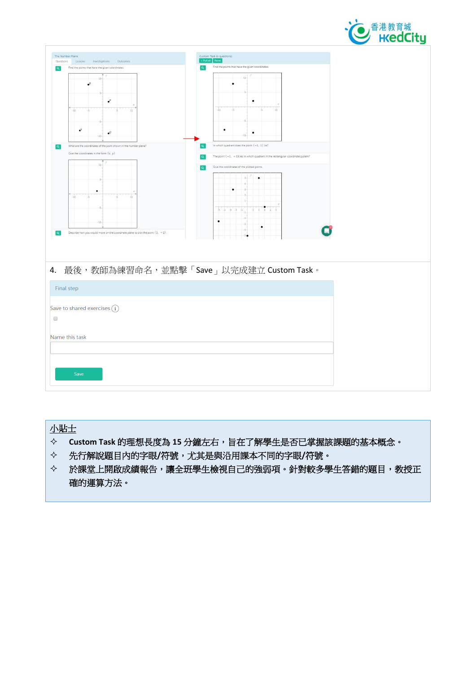

# **小貼士**

- **Custom Task 的理想長度為 15 分鐘左右,旨在了解學生是否已掌握該課題的基本概念。**
- **先行解說題目內的字眼/符號,尤其是與沿用課本不同的字眼/符號。**
- **於課堂上開啟成績報告,讓全班學生檢視自己的強弱項。針對較多學生答錯的題目,教授正 確的運算方法。**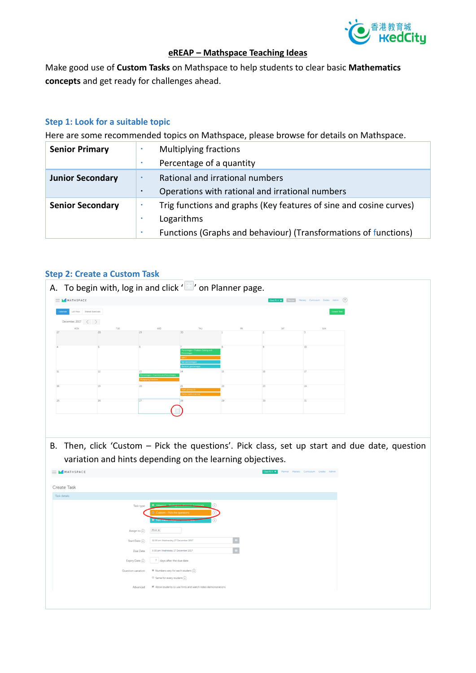

#### **eREAP – Mathspace Teaching Ideas**

Make good use of **Custom Tasks** on Mathspace to help students to clear basic **Mathematics concepts** and get ready for challenges ahead.

#### **Step 1: Look for a suitable topic**

Here are some recommended topics on Mathspace, please browse for details on Mathspace.

| <b>Senior Primary</b>   | <b>Multiplying fractions</b>                                       |
|-------------------------|--------------------------------------------------------------------|
|                         | Percentage of a quantity                                           |
| <b>Junior Secondary</b> | Rational and irrational numbers                                    |
|                         | Operations with rational and irrational numbers                    |
| <b>Senior Secondary</b> | Trig functions and graphs (Key features of sine and cosine curves) |
|                         | Logarithms                                                         |
|                         | Functions (Graphs and behaviour) (Transformations of functions)    |

### **Step 2: Create a Custom Task**



| <b>Create Task</b> |                                                                             |
|--------------------|-----------------------------------------------------------------------------|
| Task details       |                                                                             |
| Task type          | $\circ$<br>Adaptive Marketter throws eugening                               |
|                    | O Custom - Pick the questions                                               |
|                    | <b>C</b> Fast-track-company                                                 |
| Assign to $(i)$    | $\ensuremath{\mathsf{P1}\text{-}A}\xspace$ $\ensuremath{\mathsf{x}}\xspace$ |
| Start Date $(i)$   | 11:59 am Wednesday 27 December 2017                                         |
| Due Date           | 5:00 pm Wednesday 27 December 2017                                          |
| Expiry Date (i)    | 7 days after the due date                                                   |
| Question variation | $\circledast$ Numbers vary for each student $\binom{1}{1}$                  |
|                    | $\Theta$ Same for every student $\binom{?}{i}$                              |
| Advanced           | ■ Allow students to use hints and watch video demonstrations                |
|                    |                                                                             |
|                    |                                                                             |